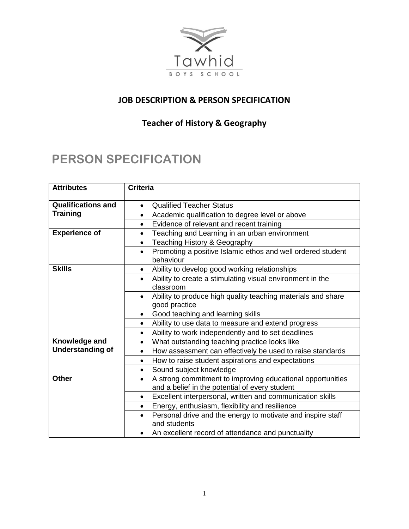

## **JOB DESCRIPTION & PERSON SPECIFICATION**

## **Teacher of History & Geography**

## **PERSON SPECIFICATION**

| <b>Attributes</b>         | <b>Criteria</b>                                                                                                           |
|---------------------------|---------------------------------------------------------------------------------------------------------------------------|
| <b>Qualifications and</b> | <b>Qualified Teacher Status</b><br>$\bullet$                                                                              |
| <b>Training</b>           | Academic qualification to degree level or above<br>$\bullet$                                                              |
|                           | Evidence of relevant and recent training<br>٠                                                                             |
| <b>Experience of</b>      | Teaching and Learning in an urban environment<br>$\bullet$                                                                |
|                           | Teaching History & Geography<br>$\bullet$                                                                                 |
|                           | Promoting a positive Islamic ethos and well ordered student<br>$\bullet$<br>behaviour                                     |
| <b>Skills</b>             | Ability to develop good working relationships<br>$\bullet$                                                                |
|                           | Ability to create a stimulating visual environment in the<br>$\bullet$<br>classroom                                       |
|                           | Ability to produce high quality teaching materials and share<br>$\bullet$<br>good practice                                |
|                           | Good teaching and learning skills<br>$\bullet$                                                                            |
|                           | Ability to use data to measure and extend progress<br>$\bullet$                                                           |
|                           | Ability to work independently and to set deadlines<br>٠                                                                   |
| Knowledge and             | What outstanding teaching practice looks like<br>$\bullet$                                                                |
| <b>Understanding of</b>   | How assessment can effectively be used to raise standards<br>$\bullet$                                                    |
|                           | How to raise student aspirations and expectations<br>٠                                                                    |
|                           | Sound subject knowledge<br>$\bullet$                                                                                      |
| <b>Other</b>              | A strong commitment to improving educational opportunities<br>$\bullet$<br>and a belief in the potential of every student |
|                           | Excellent interpersonal, written and communication skills<br>$\bullet$                                                    |
|                           | Energy, enthusiasm, flexibility and resilience<br>$\bullet$                                                               |
|                           | Personal drive and the energy to motivate and inspire staff<br>$\bullet$<br>and students                                  |
|                           | An excellent record of attendance and punctuality<br>$\bullet$                                                            |